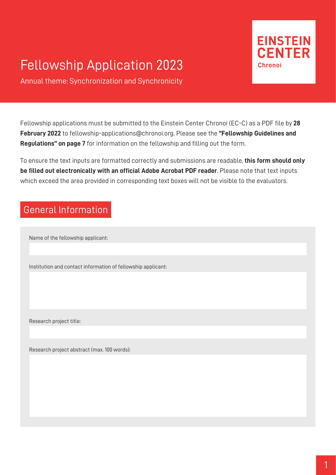# Fellowship Application 2023



Annual theme: Synchronization and Synchronicity

Fellowship applications must be submitted to the Einstein Center Chronoi (EC-C) as a PDF file by **28 February 2022** to fellowship-applications@chronoi.org. Please see the **"Fellowship Guidelines and Regulations" on page 7** for information on the fellowship and filling out the form.

To ensure the text inputs are formatted correctly and submissions are readable, **this form should only be filled out electronically with an official Adobe Acrobat PDF reader**. Please note that text inputs which exceed the area provided in corresponding text boxes will not be visible to the evaluators.

### General Information

Name of the fellowship applicant:

Institution and contact information of fellowship applicant:

Research project title:

Research project abstract (max. 100 words):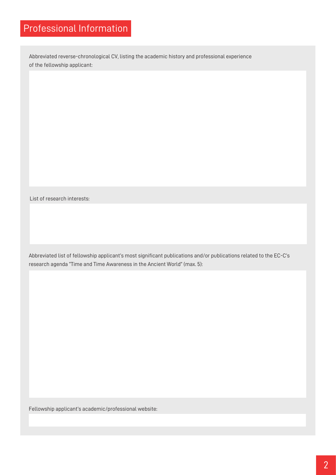### Professional Information

Abbreviated reverse-chronological CV, listing the academic history and professional experience of the fellowship applicant:

List of research interests:

Abbreviated list of fellowship applicant's most significant publications and/or publications related to the EC-C's research agenda "Time and Time Awareness in the Ancient World" (max. 5):

Fellowship applicant's academic/professional website: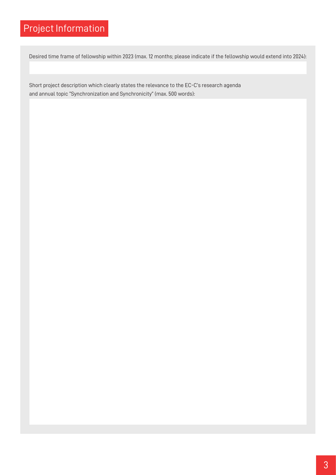## Project Information

Desired time frame of fellowship within 2023 (max. 12 months; please indicate if the fellowship would extend into 2024):

Short project description which clearly states the relevance to the EC-C's research agenda and annual topic "Synchronization and Synchronicity" (max. 500 words):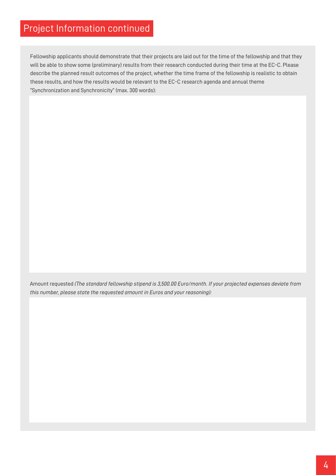### Project Information continued

Fellowship applicants should demonstrate that their projects are laid out for the time of the fellowship and that they will be able to show some (preliminary) results from their research conducted during their time at the EC-C. Please describe the planned result outcomes of the project, whether the time frame of the fellowship is realistic to obtain these results, and how the results would be relevant to the EC-C research agenda and annual theme "Synchronization and Synchronicity" (max. 300 words):

Amount requested *(The standard fellowship stipend is 3,500.00 Euro/month. If your projected expenses deviate from this number, please state the requested amount in Euros and your reasoning):*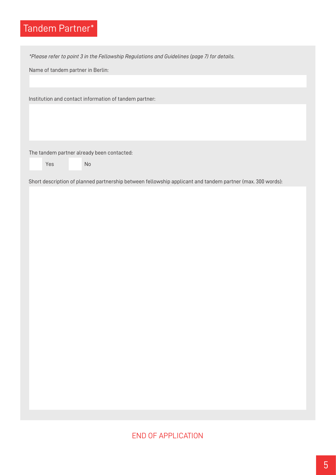## Tandem Partner\*

*\*Please refer to point 3 in the Fellowship Regulations and Guidelines (page 7) for details.*

Name of tandem partner in Berlin:

Institution and contact information of tandem partner:

The tandem partner already been contacted:

Yes No

Short description of planned partnership between fellowship applicant and tandem partner (max. 300 words):

#### END OF APPLICATION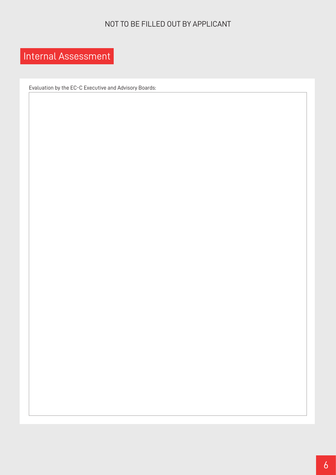#### NOT TO BE FILLED OUT BY APPLICANT

## Internal Assessment

Evaluation by the EC-C Executive and Advisory Boards: